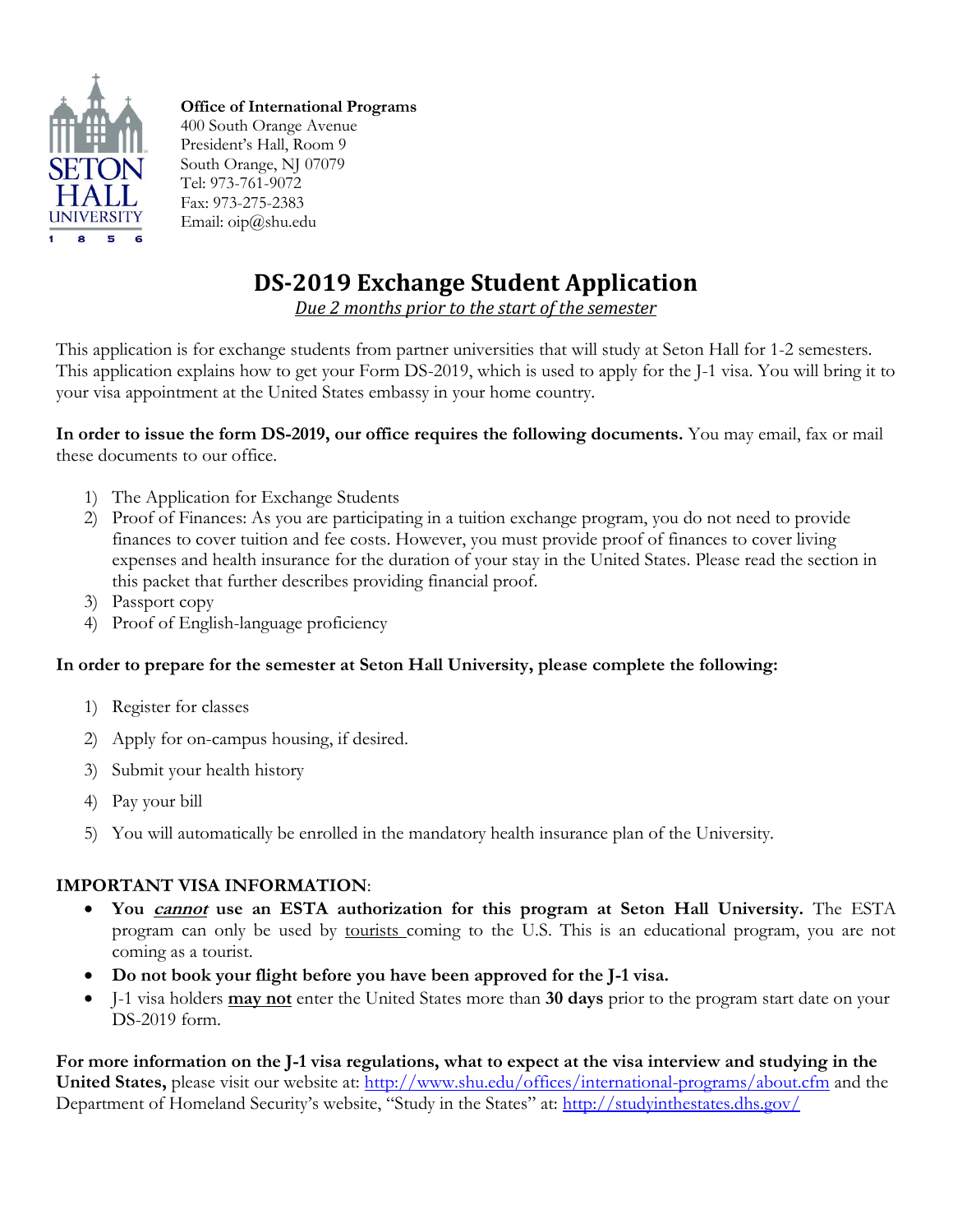

**Office of International Programs** 400 South Orange Avenue President's Hall, Room 9 South Orange, NJ 07079 Tel: 973-761-9072 Fax: 973-275-2383 Email: oip@shu.edu

# **DS-2019 Exchange Student Application**

*Due 2 months prior to the start of the semester*

This application is for exchange students from partner universities that will study at Seton Hall for 1-2 semesters. This application explains how to get your Form DS-2019, which is used to apply for the J-1 visa. You will bring it to your visa appointment at the United States embassy in your home country.

**In order to issue the form DS-2019, our office requires the following documents.** You may email, fax or mail these documents to our office.

- 1) The Application for Exchange Students
- 2) Proof of Finances: As you are participating in a tuition exchange program, you do not need to provide finances to cover tuition and fee costs. However, you must provide proof of finances to cover living expenses and health insurance for the duration of your stay in the United States. Please read the section in this packet that further describes providing financial proof.
- 3) Passport copy
- 4) Proof of English-language proficiency

#### **In order to prepare for the semester at Seton Hall University, please complete the following:**

- 1) Register for classes
- 2) Apply for on-campus housing, if desired.
- 3) Submit your health history
- 4) Pay your bill
- 5) You will automatically be enrolled in the mandatory health insurance plan of the University.

### **IMPORTANT VISA INFORMATION**:

- **You cannot use an ESTA authorization for this program at Seton Hall University.** The ESTA program can only be used by tourists coming to the U.S. This is an educational program, you are not coming as a tourist.
- **Do not book your flight before you have been approved for the J-1 visa.**
- J-1 visa holders **may not** enter the United States more than **30 days** prior to the program start date on your DS-2019 form.

**For more information on the J-1 visa regulations, what to expect at the visa interview and studying in the**  United States, please visit our website at:<http://www.shu.edu/offices/international-programs/about.cfm> and the Department of Homeland Security's website, "Study in the States" at: <http://studyinthestates.dhs.gov/>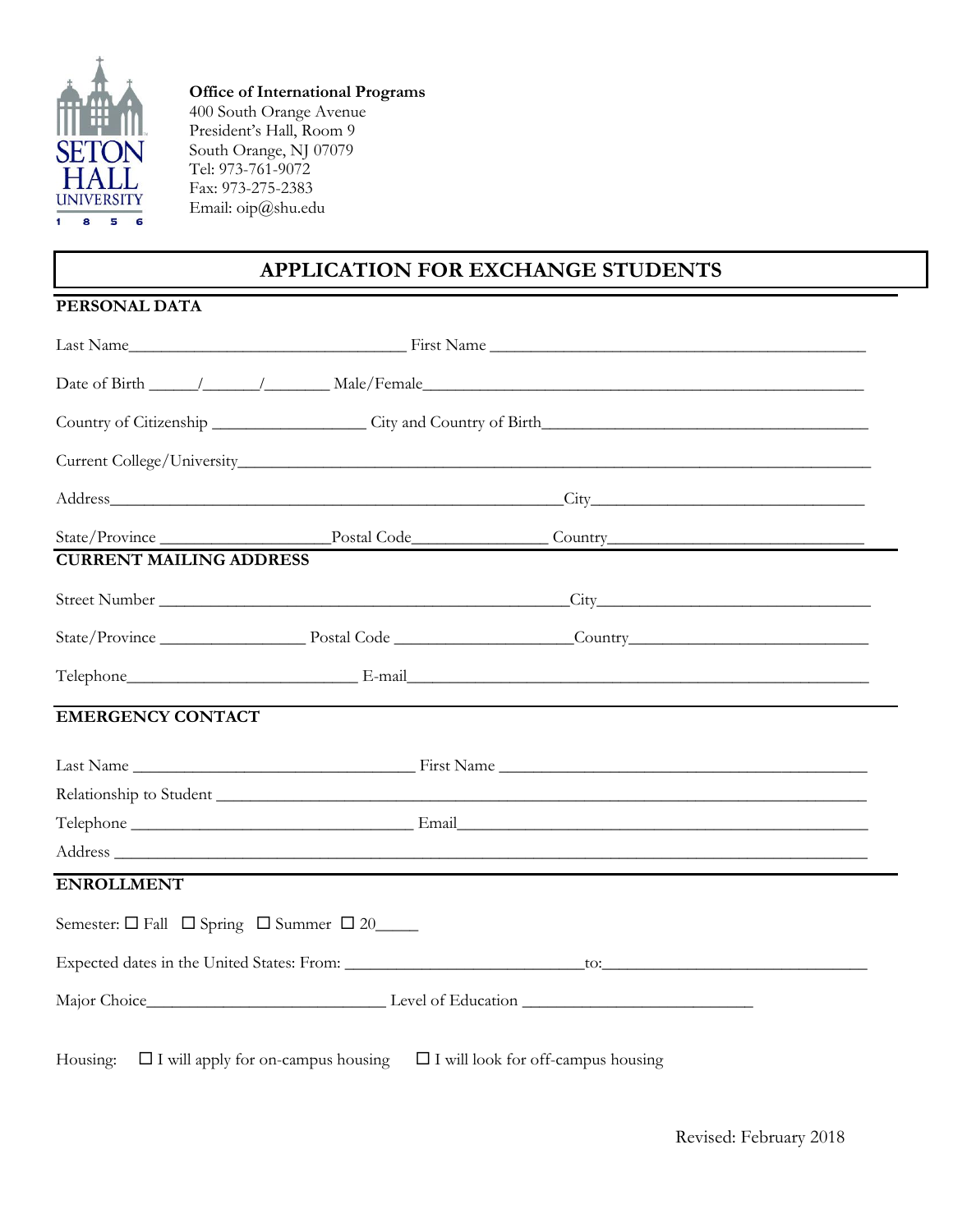

#### **Office of International Programs**

400 South Orange Avenue President's Hall, Room 9 South Orange, NJ 07079 Tel: 973-761-9072 Fax: 973-275-2383 Email: oip@shu.edu

## **APPLICATION FOR EXCHANGE STUDENTS**

#### **PERSONAL DATA**

| <b>CURRENT MAILING ADDRESS</b> |                                                                                              |  |
|--------------------------------|----------------------------------------------------------------------------------------------|--|
|                                |                                                                                              |  |
|                                |                                                                                              |  |
|                                |                                                                                              |  |
| <b>EMERGENCY CONTACT</b>       |                                                                                              |  |
|                                |                                                                                              |  |
|                                |                                                                                              |  |
|                                |                                                                                              |  |
|                                |                                                                                              |  |
| <b>ENROLLMENT</b>              |                                                                                              |  |
|                                | Semester: $\Box$ Fall $\Box$ Spring $\Box$ Summer $\Box$ 20                                  |  |
|                                |                                                                                              |  |
|                                |                                                                                              |  |
|                                | Housing: $\Box$ I will apply for on-campus housing $\Box$ I will look for off-campus housing |  |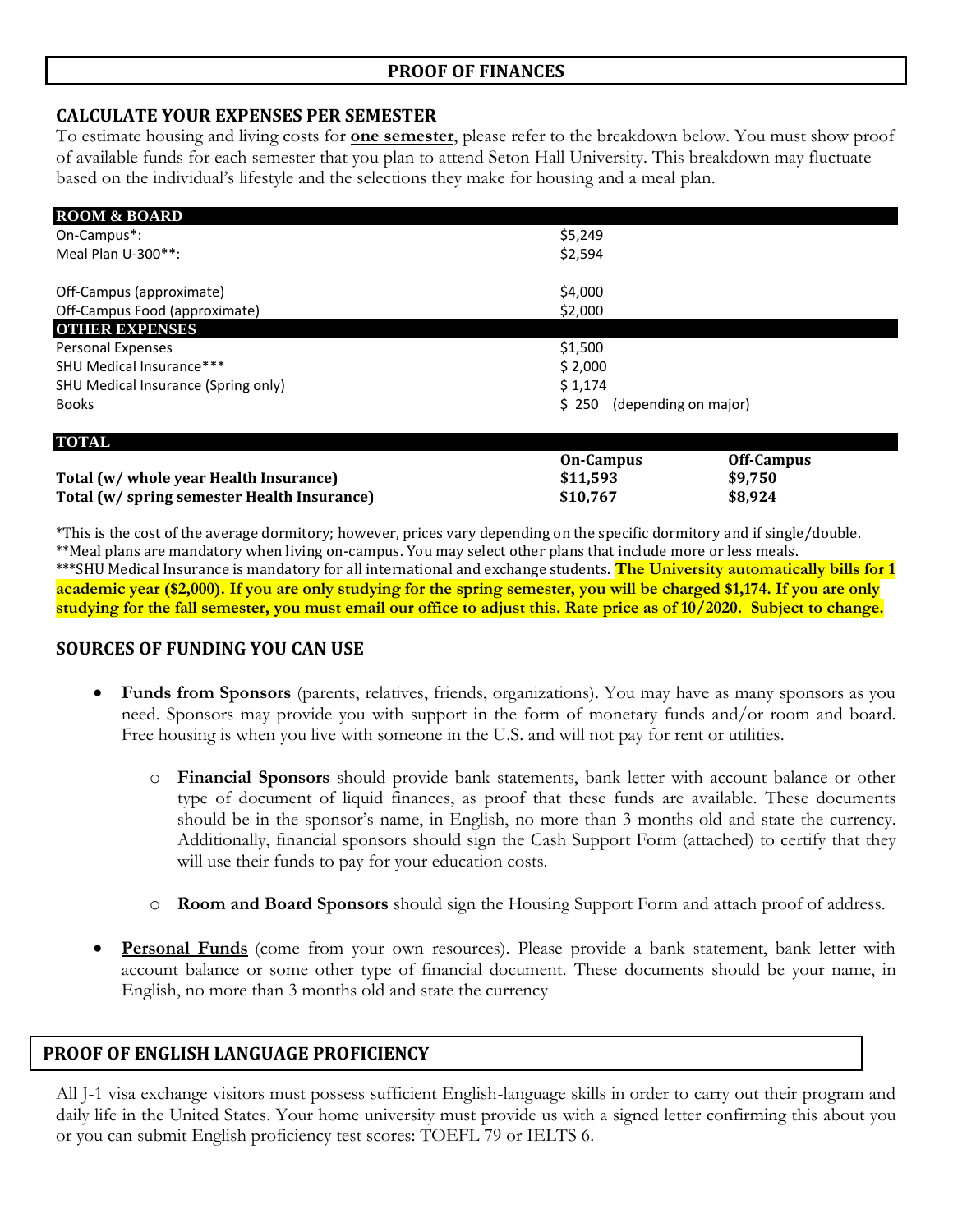#### **PROOF OF FINANCES**

#### **CALCULATE YOUR EXPENSES PER SEMESTER**

To estimate housing and living costs for **one semester**, please refer to the breakdown below. You must show proof of available funds for each semester that you plan to attend Seton Hall University. This breakdown may fluctuate based on the individual's lifestyle and the selections they make for housing and a meal plan.

| <b>ROOM &amp; BOARD</b>             |                                              |
|-------------------------------------|----------------------------------------------|
| On-Campus*:                         | \$5,249                                      |
| Meal Plan U-300**:                  | \$2,594                                      |
| Off-Campus (approximate)            | \$4,000                                      |
| Off-Campus Food (approximate)       | \$2,000                                      |
| <b>OTHER EXPENSES</b>               |                                              |
| Personal Expenses                   | \$1,500                                      |
| SHU Medical Insurance***            | \$2,000                                      |
| SHU Medical Insurance (Spring only) | \$1,174                                      |
| <b>Books</b>                        | (depending on major)<br>\$250                |
| <b>TOTAL</b>                        |                                              |
|                                     | $\alpha$ or $\alpha$<br>$\sim$ $\sim$ $\sim$ |

| Off-Campus |
|------------|
| \$9.750    |
| \$8.924    |
|            |

\*This is the cost of the average dormitory; however, prices vary depending on the specific dormitory and if single/double. \*\*Meal plans are mandatory when living on-campus. You may select other plans that include more or less meals. \*\*\*SHU Medical Insurance is mandatory for all international and exchange students. **The University automatically bills for 1 academic year (\$2,000). If you are only studying for the spring semester, you will be charged \$1,174. If you are only studying for the fall semester, you must email our office to adjust this. Rate price as of 10/2020. Subject to change.**

#### **SOURCES OF FUNDING YOU CAN USE**

- **Funds from Sponsors** (parents, relatives, friends, organizations). You may have as many sponsors as you need. Sponsors may provide you with support in the form of monetary funds and/or room and board. Free housing is when you live with someone in the U.S. and will not pay for rent or utilities.
	- o **Financial Sponsors** should provide bank statements, bank letter with account balance or other type of document of liquid finances, as proof that these funds are available. These documents should be in the sponsor's name, in English, no more than 3 months old and state the currency. Additionally, financial sponsors should sign the Cash Support Form (attached) to certify that they will use their funds to pay for your education costs.
	- o **Room and Board Sponsors** should sign the Housing Support Form and attach proof of address.
- **Personal Funds** (come from your own resources). Please provide a bank statement, bank letter with account balance or some other type of financial document. These documents should be your name, in English, no more than 3 months old and state the currency

### **PROOF OF ENGLISH LANGUAGE PROFICIENCY**

All J-1 visa exchange visitors must possess sufficient English-language skills in order to carry out their program and daily life in the United States. Your home university must provide us with a signed letter confirming this about you or you can submit English proficiency test scores: TOEFL 79 or IELTS 6.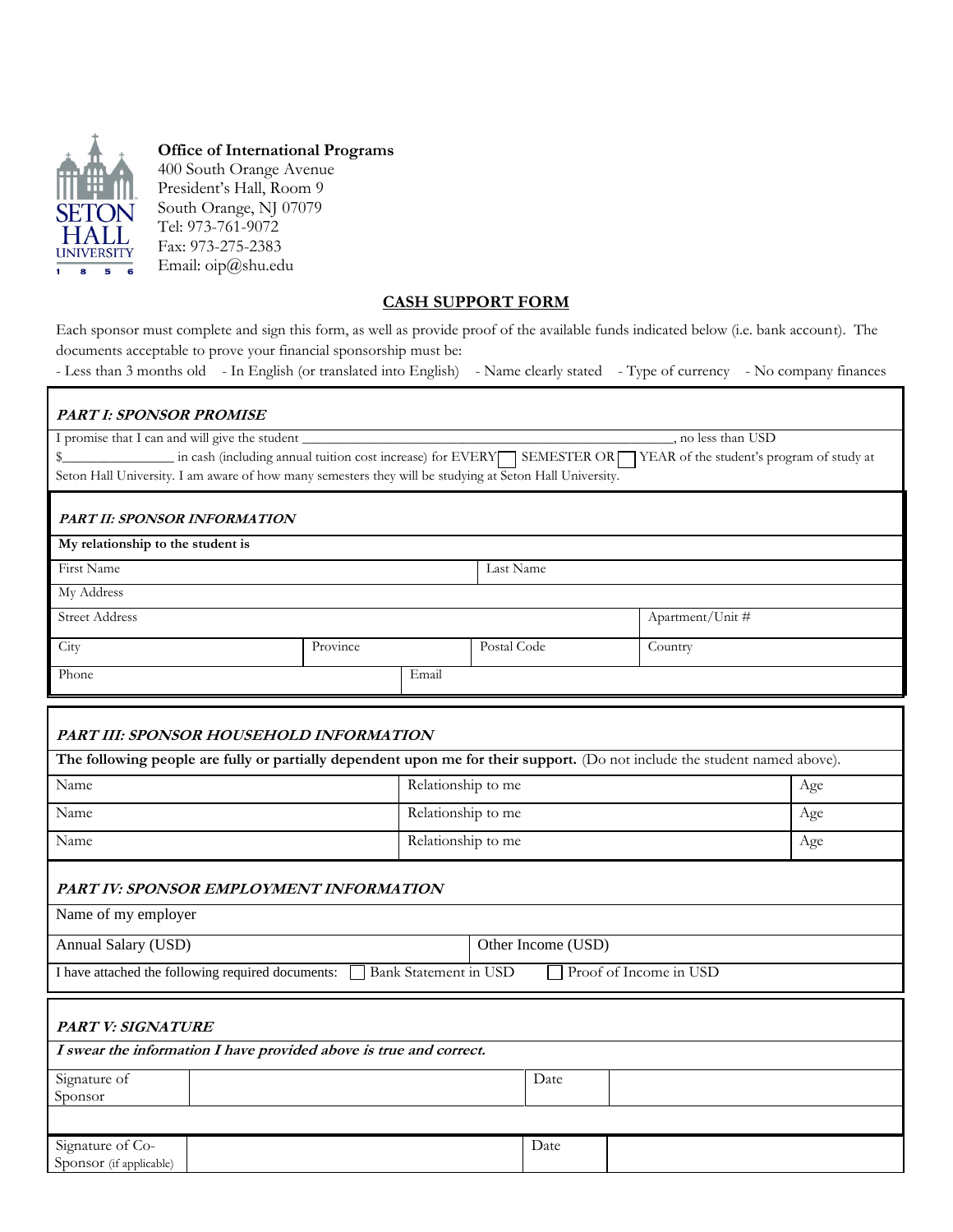

#### **Office of International Programs**

400 South Orange Avenue President's Hall, Room 9 South Orange, NJ 07079 Tel: 973-761-9072 Fax: 973-275-2383 Email: oip@shu.edu

#### **CASH SUPPORT FORM**

Each sponsor must complete and sign this form, as well as provide proof of the available funds indicated below (i.e. bank account). The documents acceptable to prove your financial sponsorship must be:

- Less than 3 months old - In English (or translated into English) - Name clearly stated - Type of currency - No company finances

| PART I: SPONSOR PROMISE                                                                                                    |          |                       |             |                                           |     |
|----------------------------------------------------------------------------------------------------------------------------|----------|-----------------------|-------------|-------------------------------------------|-----|
| I promise that I can and will give the student                                                                             |          |                       |             | , no less than USD                        |     |
| in cash (including annual tuition cost increase) for EVERY                                                                 |          |                       | SEMESTER OR | YEAR of the student's program of study at |     |
| Seton Hall University. I am aware of how many semesters they will be studying at Seton Hall University.                    |          |                       |             |                                           |     |
| <b>PART II: SPONSOR INFORMATION</b>                                                                                        |          |                       |             |                                           |     |
| My relationship to the student is                                                                                          |          |                       |             |                                           |     |
| First Name                                                                                                                 |          | Last Name             |             |                                           |     |
| My Address                                                                                                                 |          |                       |             |                                           |     |
| <b>Street Address</b>                                                                                                      |          |                       |             | Apartment/Unit #                          |     |
| City                                                                                                                       | Province | Postal Code           |             | Country                                   |     |
| Phone                                                                                                                      |          | Email                 |             |                                           |     |
|                                                                                                                            |          |                       |             |                                           |     |
| PART III: SPONSOR HOUSEHOLD INFORMATION                                                                                    |          |                       |             |                                           |     |
| The following people are fully or partially dependent upon me for their support. (Do not include the student named above). |          |                       |             |                                           |     |
| Name                                                                                                                       |          | Relationship to me    |             |                                           | Age |
| Name                                                                                                                       |          | Relationship to me    |             |                                           | Age |
| Name                                                                                                                       |          | Relationship to me    |             |                                           | Age |
| PART IV: SPONSOR EMPLOYMENT INFORMATION                                                                                    |          |                       |             |                                           |     |
| Name of my employer                                                                                                        |          |                       |             |                                           |     |
| Other Income (USD)<br>Annual Salary (USD)                                                                                  |          |                       |             |                                           |     |
| I have attached the following required documents:                                                                          |          | Bank Statement in USD |             | Proof of Income in USD                    |     |
| <b>PART V: SIGNATURE</b>                                                                                                   |          |                       |             |                                           |     |
| I swear the information I have provided above is true and correct.                                                         |          |                       |             |                                           |     |
| Signature of<br>Sponsor                                                                                                    |          |                       | Date        |                                           |     |
|                                                                                                                            |          |                       |             |                                           |     |
| Signature of Co-<br>Sponsor (if applicable)                                                                                |          |                       | Date        |                                           |     |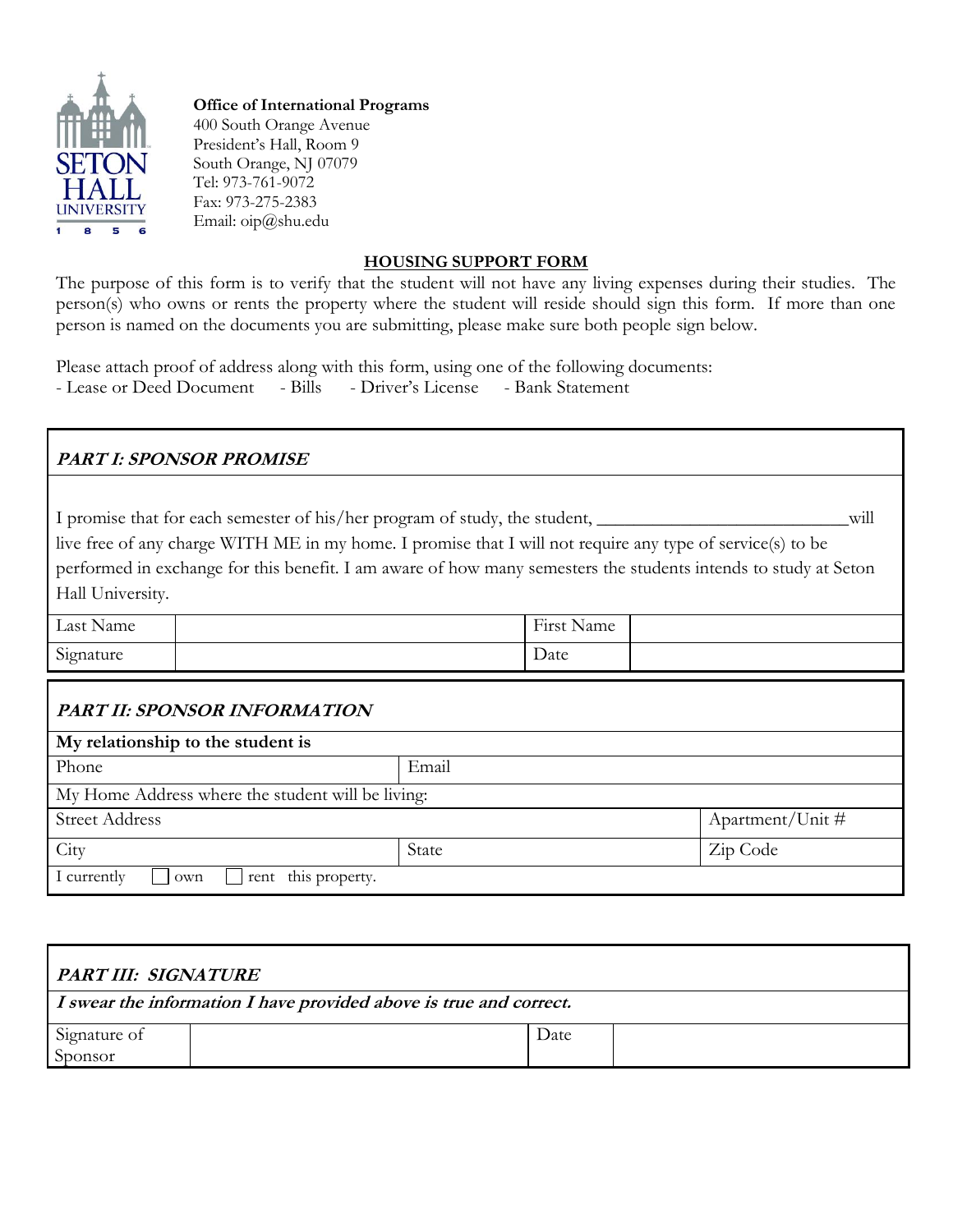

**Office of International Programs**

400 South Orange Avenue President's Hall, Room 9 South Orange, NJ 07079 Tel: 973-761-9072 Fax: 973-275-2383 Email: oip@shu.edu

#### **HOUSING SUPPORT FORM**

The purpose of this form is to verify that the student will not have any living expenses during their studies. The person(s) who owns or rents the property where the student will reside should sign this form. If more than one person is named on the documents you are submitting, please make sure both people sign below.

Please attach proof of address along with this form, using one of the following documents: - Lease or Deed Document - Bills - Driver's License - Bank Statement

|  | ---------<br>______ | --------------<br>______ | ------- ------------ |  |
|--|---------------------|--------------------------|----------------------|--|
|  |                     |                          |                      |  |
|  |                     |                          |                      |  |
|  |                     |                          |                      |  |
|  |                     |                          |                      |  |
|  |                     |                          |                      |  |
|  |                     |                          |                      |  |
|  |                     |                          |                      |  |

## **PART I: SPONSOR PROMISE**

I promise that for each semester of his/her program of study, the student, \_\_\_\_\_\_\_\_\_\_\_\_\_\_\_\_\_\_\_\_\_\_\_\_\_\_\_will

live free of any charge WITH ME in my home. I promise that I will not require any type of service(s) to be

performed in exchange for this benefit. I am aware of how many semesters the students intends to study at Seton Hall University.

| Last Name           | Name<br>$\cdots$<br>$H$ $1$ rst $\perp$ |  |
|---------------------|-----------------------------------------|--|
| $\sim$<br>Signature | Date                                    |  |

## **PART II: SPONSOR INFORMATION**

| My relationship to the student is                 |       |                  |  |  |
|---------------------------------------------------|-------|------------------|--|--|
| Phone                                             | Email |                  |  |  |
| My Home Address where the student will be living: |       |                  |  |  |
| <b>Street Address</b>                             |       | Apartment/Unit # |  |  |
| City                                              | State | Zip Code         |  |  |
| rent this property.<br>I currently<br>own         |       |                  |  |  |

| <b>PART III: SIGNATURE</b> |                                                                    |      |  |
|----------------------------|--------------------------------------------------------------------|------|--|
|                            | I swear the information I have provided above is true and correct. |      |  |
| Signature of<br>Sponsor    |                                                                    | Date |  |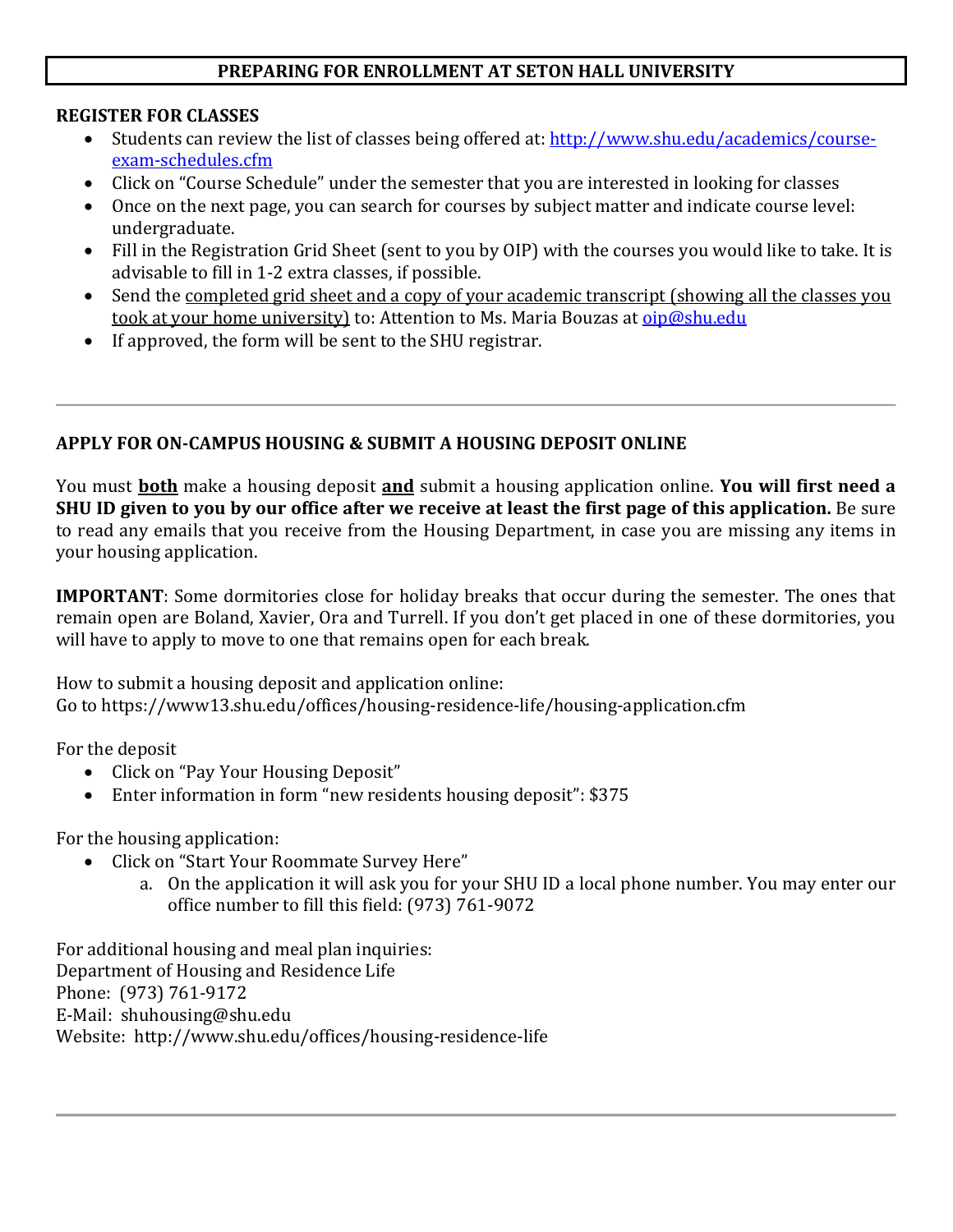## **PREPARING FOR ENROLLMENT AT SETON HALL UNIVERSITY**

#### **REGISTER FOR CLASSES**

- Students can review the list of classes being offered at: [http://www.shu.edu/academics/course](http://www.shu.edu/academics/course-exam-schedules.cfm)[exam-schedules.cfm](http://www.shu.edu/academics/course-exam-schedules.cfm)
- Click on "Course Schedule" under the semester that you are interested in looking for classes
- Once on the next page, you can search for courses by subject matter and indicate course level: undergraduate.
- Fill in the Registration Grid Sheet (sent to you by OIP) with the courses you would like to take. It is advisable to fill in 1-2 extra classes, if possible.
- Send the completed grid sheet and a copy of your academic transcript (showing all the classes you took at your home university) to: Attention to Ms. Maria Bouzas at [oip@shu.edu](mailto:oip@shu.edu)
- If approved, the form will be sent to the SHU registrar.

## **APPLY FOR ON-CAMPUS HOUSING & SUBMIT A HOUSING DEPOSIT ONLINE**

You must **both** make a housing deposit **and** submit a housing application online. **You will first need a SHU ID given to you by our office after we receive at least the first page of this application.** Be sure to read any emails that you receive from the Housing Department, in case you are missing any items in your housing application.

**IMPORTANT**: Some dormitories close for holiday breaks that occur during the semester. The ones that remain open are Boland, Xavier, Ora and Turrell. If you don't get placed in one of these dormitories, you will have to apply to move to one that remains open for each break.

How to submit a housing deposit and application online: Go to https://www13.shu.edu/offices/housing-residence-life/housing-application.cfm

For the deposit

- Click on "Pay Your Housing Deposit"
- Enter information in form "new residents housing deposit": \$375

For the housing application:

- Click on "Start Your Roommate Survey Here"
	- a. On the application it will ask you for your SHU ID a local phone number. You may enter our office number to fill this field: (973) 761-9072

For additional housing and meal plan inquiries: Department of Housing and Residence Life Phone: (973) 761-9172 E-Mail: [shuhousing@shu.edu](mailto:shuhousing@shu.edu) Website: <http://www.shu.edu/offices/housing-residence-life>